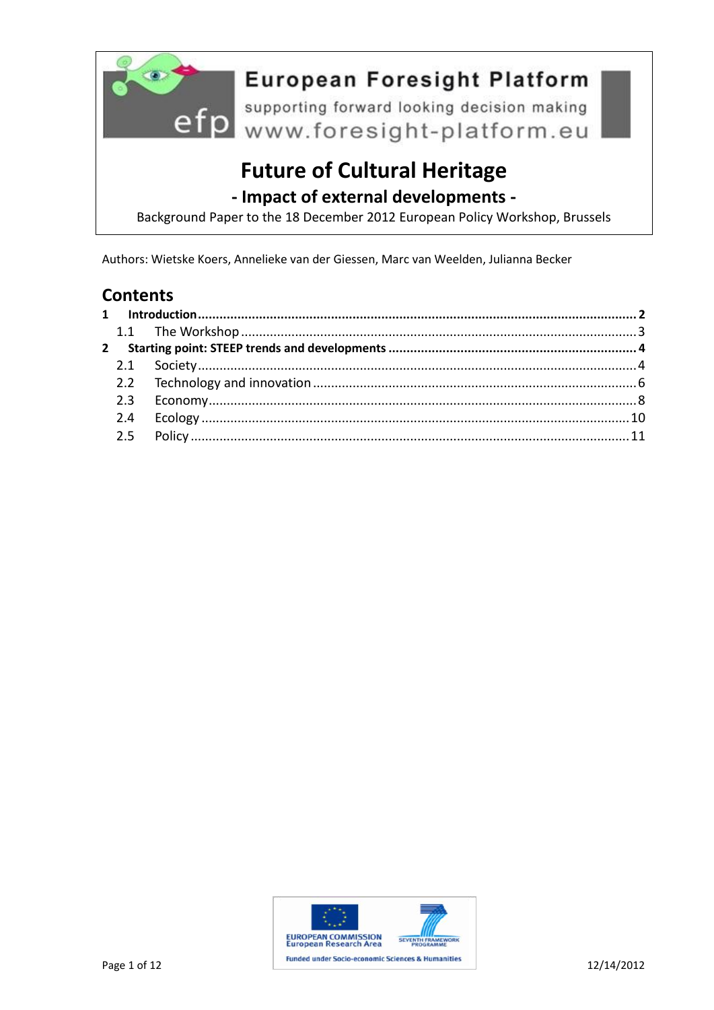

European Foresign...<br>
efp www.foresight-platform.eu

# **Future of Cultural Heritage**

- Impact of external developments -

Background Paper to the 18 December 2012 European Policy Workshop, Brussels

Authors: Wietske Koers, Annelieke van der Giessen, Marc van Weelden, Julianna Becker

### **Contents**

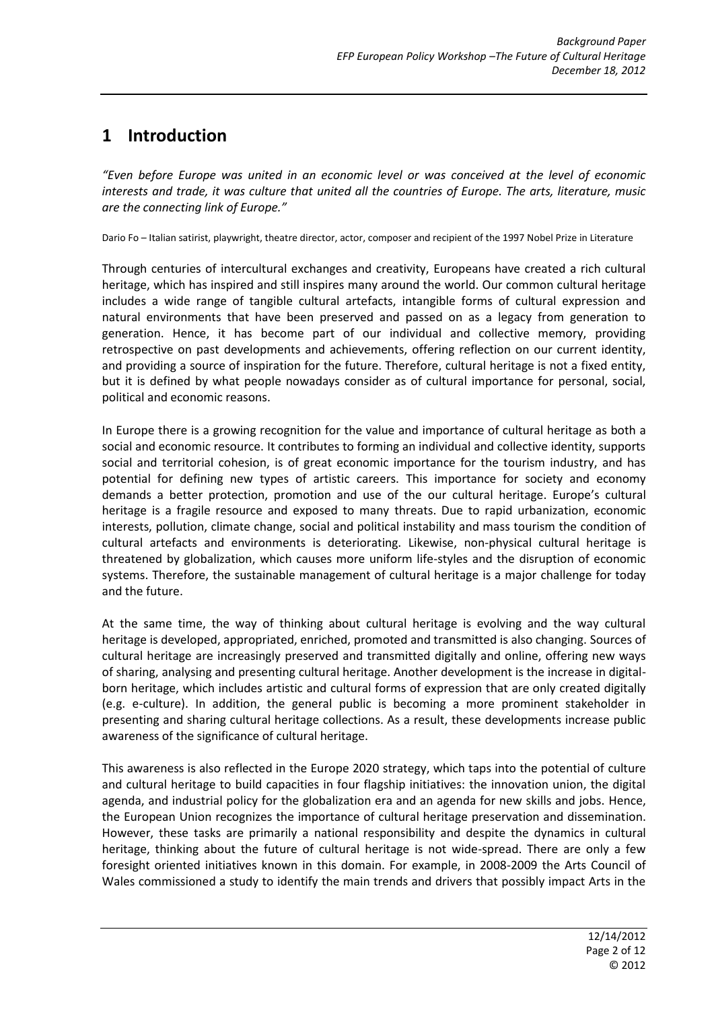# <span id="page-1-0"></span>**1 Introduction**

*"Even before Europe was united in an economic level or was conceived at the level of economic interests and trade, it was culture that united all the countries of Europe. The arts, literature, music are the connecting link of Europe."*

Dario Fo – Italian satirist, playwright, theatre director, actor, composer and recipient of the 1997 Nobel Prize in Literature

Through centuries of intercultural exchanges and creativity, Europeans have created a rich cultural heritage, which has inspired and still inspires many around the world. Our common cultural heritage includes a wide range of tangible cultural artefacts, intangible forms of cultural expression and natural environments that have been preserved and passed on as a legacy from generation to generation. Hence, it has become part of our individual and collective memory, providing retrospective on past developments and achievements, offering reflection on our current identity, and providing a source of inspiration for the future. Therefore, cultural heritage is not a fixed entity, but it is defined by what people nowadays consider as of cultural importance for personal, social, political and economic reasons.

In Europe there is a growing recognition for the value and importance of cultural heritage as both a social and economic resource. It contributes to forming an individual and collective identity, supports social and territorial cohesion, is of great economic importance for the tourism industry, and has potential for defining new types of artistic careers. This importance for society and economy demands a better protection, promotion and use of the our cultural heritage. Europe's cultural heritage is a fragile resource and exposed to many threats. Due to rapid urbanization, economic interests, pollution, climate change, social and political instability and mass tourism the condition of cultural artefacts and environments is deteriorating. Likewise, non-physical cultural heritage is threatened by globalization, which causes more uniform life-styles and the disruption of economic systems. Therefore, the sustainable management of cultural heritage is a major challenge for today and the future.

At the same time, the way of thinking about cultural heritage is evolving and the way cultural heritage is developed, appropriated, enriched, promoted and transmitted is also changing. Sources of cultural heritage are increasingly preserved and transmitted digitally and online, offering new ways of sharing, analysing and presenting cultural heritage. Another development is the increase in digitalborn heritage, which includes artistic and cultural forms of expression that are only created digitally (e.g. e-culture). In addition, the general public is becoming a more prominent stakeholder in presenting and sharing cultural heritage collections. As a result, these developments increase public awareness of the significance of cultural heritage.

This awareness is also reflected in the Europe 2020 strategy, which taps into the potential of culture and cultural heritage to build capacities in four flagship initiatives: the innovation union, the digital agenda, and industrial policy for the globalization era and an agenda for new skills and jobs. Hence, the European Union recognizes the importance of cultural heritage preservation and dissemination. However, these tasks are primarily a national responsibility and despite the dynamics in cultural heritage, thinking about the future of cultural heritage is not wide-spread. There are only a few foresight oriented initiatives known in this domain. For example, in 2008-2009 the Arts Council of Wales commissioned a study to identify the main trends and drivers that possibly impact Arts in the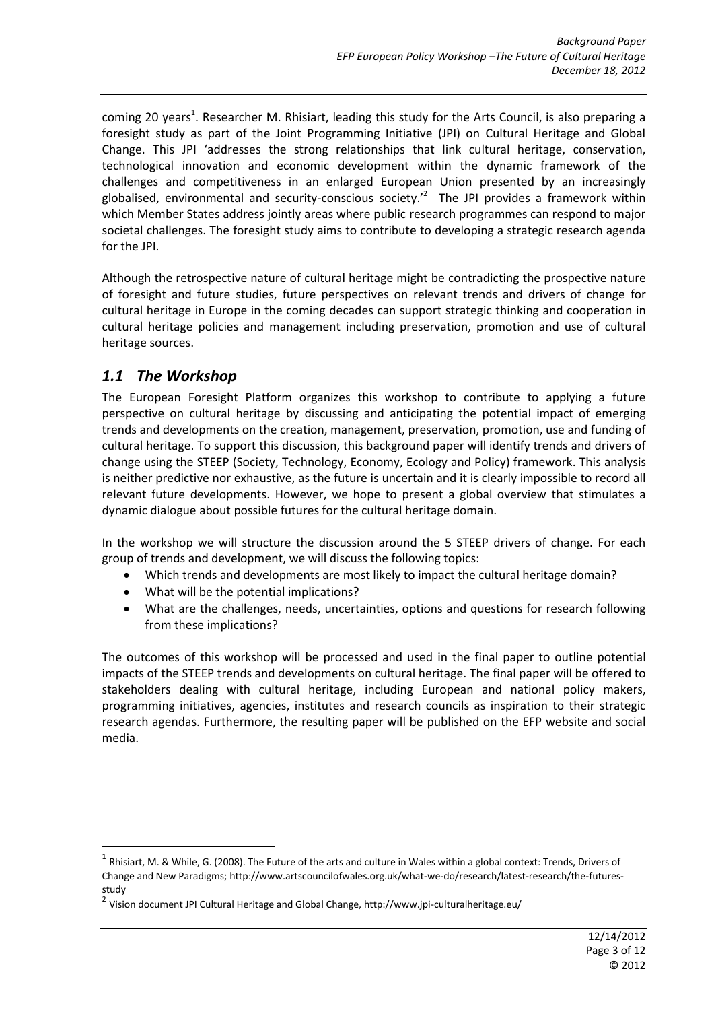coming 20 years<sup>1</sup>. Researcher M. Rhisiart, leading this study for the Arts Council, is also preparing a foresight study as part of the Joint Programming Initiative (JPI) on Cultural Heritage and Global Change. This JPI 'addresses the strong relationships that link cultural heritage, conservation, technological innovation and economic development within the dynamic framework of the challenges and competitiveness in an enlarged European Union presented by an increasingly globalised, environmental and security-conscious society.<sup>2</sup> The JPI provides a framework within which Member States address jointly areas where public research programmes can respond to major societal challenges. The foresight study aims to contribute to developing a strategic research agenda for the JPI.

Although the retrospective nature of cultural heritage might be contradicting the prospective nature of foresight and future studies, future perspectives on relevant trends and drivers of change for cultural heritage in Europe in the coming decades can support strategic thinking and cooperation in cultural heritage policies and management including preservation, promotion and use of cultural heritage sources.

### <span id="page-2-0"></span>*1.1 The Workshop*

1

The European Foresight Platform organizes this workshop to contribute to applying a future perspective on cultural heritage by discussing and anticipating the potential impact of emerging trends and developments on the creation, management, preservation, promotion, use and funding of cultural heritage. To support this discussion, this background paper will identify trends and drivers of change using the STEEP (Society, Technology, Economy, Ecology and Policy) framework. This analysis is neither predictive nor exhaustive, as the future is uncertain and it is clearly impossible to record all relevant future developments. However, we hope to present a global overview that stimulates a dynamic dialogue about possible futures for the cultural heritage domain.

In the workshop we will structure the discussion around the 5 STEEP drivers of change. For each group of trends and development, we will discuss the following topics:

- Which trends and developments are most likely to impact the cultural heritage domain?
- What will be the potential implications?
- What are the challenges, needs, uncertainties, options and questions for research following from these implications?

The outcomes of this workshop will be processed and used in the final paper to outline potential impacts of the STEEP trends and developments on cultural heritage. The final paper will be offered to stakeholders dealing with cultural heritage, including European and national policy makers, programming initiatives, agencies, institutes and research councils as inspiration to their strategic research agendas. Furthermore, the resulting paper will be published on the EFP website and social media.

 $^1$  Rhisiart, M. & While, G. (2008). The Future of the arts and culture in Wales within a global context: Trends, Drivers of Change and New Paradigms; http://www.artscouncilofwales.org.uk/what-we-do/research/latest-research/the-futuresstudy

<sup>&</sup>lt;sup>2</sup> Vision document JPI Cultural Heritage and Global Change, http://www.jpi-culturalheritage.eu/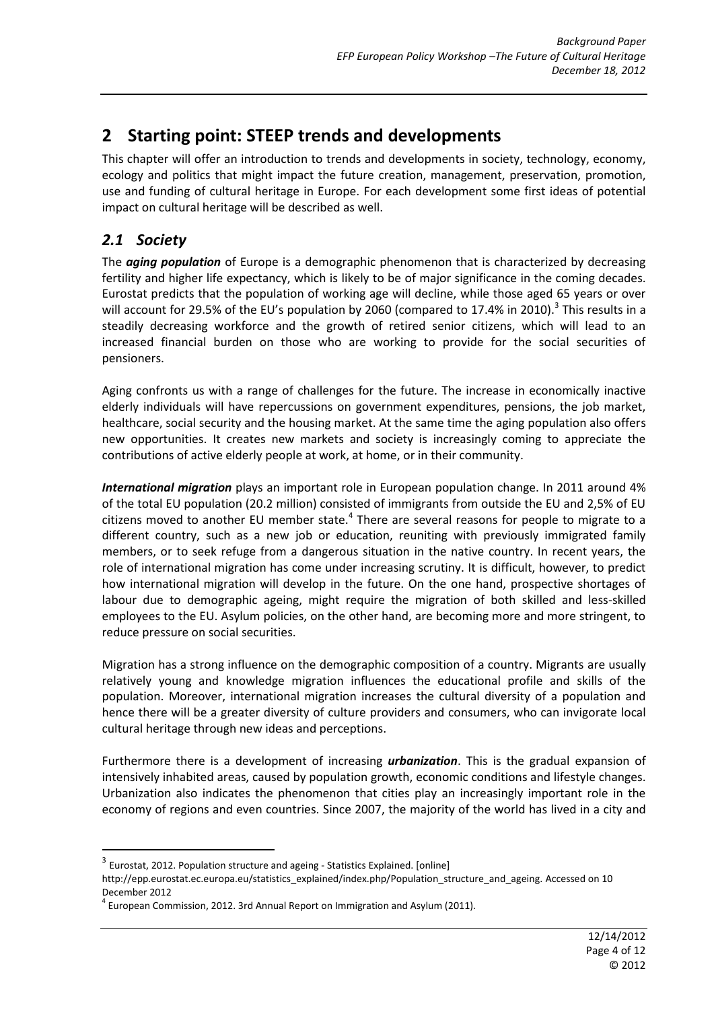# <span id="page-3-0"></span>**2 Starting point: STEEP trends and developments**

This chapter will offer an introduction to trends and developments in society, technology, economy, ecology and politics that might impact the future creation, management, preservation, promotion, use and funding of cultural heritage in Europe. For each development some first ideas of potential impact on cultural heritage will be described as well.

# <span id="page-3-1"></span>*2.1 Society*

**.** 

The *aging population* of Europe is a demographic phenomenon that is characterized by decreasing fertility and higher life expectancy, which is likely to be of major significance in the coming decades. Eurostat predicts that the population of working age will decline, while those aged 65 years or over will account for 29.5% of the EU's population by 2060 (compared to 17.4% in 2010).<sup>3</sup> This results in a steadily decreasing workforce and the growth of retired senior citizens, which will lead to an increased financial burden on those who are working to provide for the social securities of pensioners.

Aging confronts us with a range of challenges for the future. The increase in economically inactive elderly individuals will have repercussions on government expenditures, pensions, the job market, healthcare, social security and the housing market. At the same time the aging population also offers new opportunities. It creates new markets and society is increasingly coming to appreciate the contributions of active elderly people at work, at home, or in their community.

*International migration* plays an important role in European population change. In 2011 around 4% of the total EU population (20.2 million) consisted of immigrants from outside the EU and 2,5% of EU citizens moved to another EU member state. $<sup>4</sup>$  There are several reasons for people to migrate to a</sup> different country, such as a new job or education, reuniting with previously immigrated family members, or to seek refuge from a dangerous situation in the native country. In recent years, the role of international migration has come under increasing scrutiny. It is difficult, however, to predict how international migration will develop in the future. On the one hand, prospective shortages of labour due to demographic ageing, might require the migration of both skilled and less-skilled employees to the EU. Asylum policies, on the other hand, are becoming more and more stringent, to reduce pressure on social securities.

Migration has a strong influence on the demographic composition of a country. Migrants are usually relatively young and knowledge migration influences the educational profile and skills of the population. Moreover, international migration increases the cultural diversity of a population and hence there will be a greater diversity of culture providers and consumers, who can invigorate local cultural heritage through new ideas and perceptions.

Furthermore there is a development of increasing *urbanization*. This is the gradual expansion of intensively inhabited areas, caused by population growth, economic conditions and lifestyle changes. Urbanization also indicates the phenomenon that cities play an increasingly important role in the economy of regions and even countries. Since 2007, the majority of the world has lived in a city and

 $3$  Eurostat, 2012. Population structure and ageing - Statistics Explained. [online]

http://epp.eurostat.ec.europa.eu/statistics\_explained/index.php/Population\_structure\_and\_ageing. Accessed on 10 December 2012

 $^4$  European Commission, 2012. 3rd Annual Report on Immigration and Asylum (2011).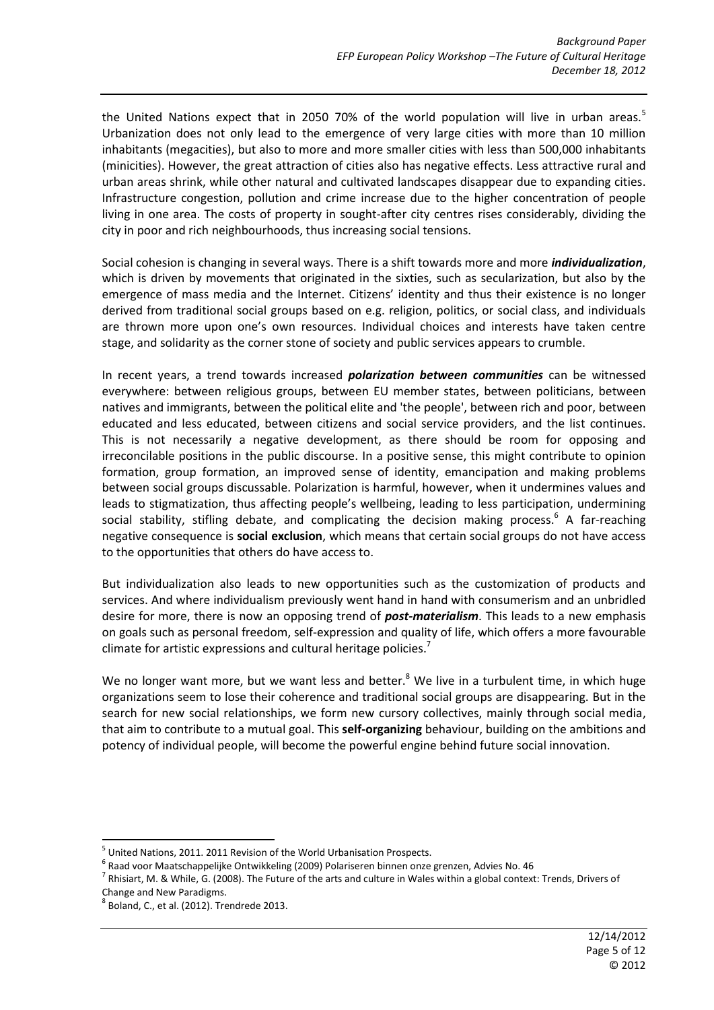the United Nations expect that in 2050 70% of the world population will live in urban areas.<sup>5</sup> Urbanization does not only lead to the emergence of very large cities with more than 10 million inhabitants (megacities), but also to more and more smaller cities with less than 500,000 inhabitants (minicities). However, the great attraction of cities also has negative effects. Less attractive rural and urban areas shrink, while other natural and cultivated landscapes disappear due to expanding cities. Infrastructure congestion, pollution and crime increase due to the higher concentration of people living in one area. The costs of property in sought-after city centres rises considerably, dividing the city in poor and rich neighbourhoods, thus increasing social tensions.

Social cohesion is changing in several ways. There is a shift towards more and more *individualization*, which is driven by movements that originated in the sixties, such as secularization, but also by the emergence of mass media and the Internet. Citizens' identity and thus their existence is no longer derived from traditional social groups based on e.g. religion, politics, or social class, and individuals are thrown more upon one's own resources. Individual choices and interests have taken centre stage, and solidarity as the corner stone of society and public services appears to crumble.

In recent years, a trend towards increased *polarization between communities* can be witnessed everywhere: between religious groups, between EU member states, between politicians, between natives and immigrants, between the political elite and 'the people', between rich and poor, between educated and less educated, between citizens and social service providers, and the list continues. This is not necessarily a negative development, as there should be room for opposing and irreconcilable positions in the public discourse. In a positive sense, this might contribute to opinion formation, group formation, an improved sense of identity, emancipation and making problems between social groups discussable. Polarization is harmful, however, when it undermines values and leads to stigmatization, thus affecting people's wellbeing, leading to less participation, undermining social stability, stifling debate, and complicating the decision making process.<sup>6</sup> A far-reaching negative consequence is **social exclusion**, which means that certain social groups do not have access to the opportunities that others do have access to.

But individualization also leads to new opportunities such as the customization of products and services. And where individualism previously went hand in hand with consumerism and an unbridled desire for more, there is now an opposing trend of *post-materialism*. This leads to a new emphasis on goals such as personal freedom, self-expression and quality of life, which offers a more favourable climate for artistic expressions and cultural heritage policies. $'$ 

We no longer want more, but we want less and better. $8$  We live in a turbulent time, in which huge organizations seem to lose their coherence and traditional social groups are disappearing. But in the search for new social relationships, we form new cursory collectives, mainly through social media, that aim to contribute to a mutual goal. This **self-organizing** behaviour, building on the ambitions and potency of individual people, will become the powerful engine behind future social innovation.

1

<sup>&</sup>lt;sup>5</sup> United Nations, 2011. 2011 Revision of the World Urbanisation Prospects.

<sup>&</sup>lt;sup>6</sup> Raad voor Maatschappelijke Ontwikkeling (2009) Polariseren binnen onze grenzen, Advies No. 46

 $^7$  Rhisiart, M. & While, G. (2008). The Future of the arts and culture in Wales within a global context: Trends, Drivers of Change and New Paradigms.

 $^8$  Boland, C., et al. (2012). Trendrede 2013.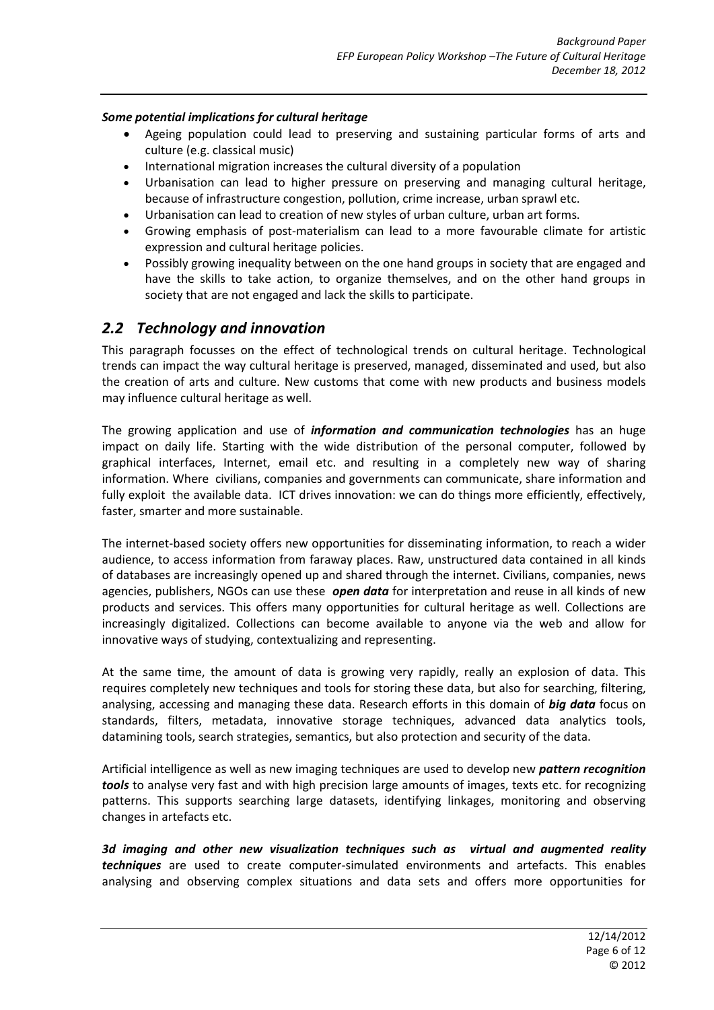#### *Some potential implications for cultural heritage*

- Ageing population could lead to preserving and sustaining particular forms of arts and culture (e.g. classical music)
- International migration increases the cultural diversity of a population
- Urbanisation can lead to higher pressure on preserving and managing cultural heritage, because of infrastructure congestion, pollution, crime increase, urban sprawl etc.
- Urbanisation can lead to creation of new styles of urban culture, urban art forms.
- Growing emphasis of post-materialism can lead to a more favourable climate for artistic expression and cultural heritage policies.
- Possibly growing inequality between on the one hand groups in society that are engaged and have the skills to take action, to organize themselves, and on the other hand groups in society that are not engaged and lack the skills to participate.

### <span id="page-5-0"></span>*2.2 Technology and innovation*

This paragraph focusses on the effect of technological trends on cultural heritage. Technological trends can impact the way cultural heritage is preserved, managed, disseminated and used, but also the creation of arts and culture. New customs that come with new products and business models may influence cultural heritage as well.

The growing application and use of *information and communication technologies* has an huge impact on daily life. Starting with the wide distribution of the personal computer, followed by graphical interfaces, Internet, email etc. and resulting in a completely new way of sharing information. Where civilians, companies and governments can communicate, share information and fully exploit the available data. ICT drives innovation: we can do things more efficiently, effectively, faster, smarter and more sustainable.

The internet-based society offers new opportunities for disseminating information, to reach a wider audience, to access information from faraway places. Raw, unstructured data contained in all kinds of databases are increasingly opened up and shared through the internet. Civilians, companies, news agencies, publishers, NGOs can use these *open data* for interpretation and reuse in all kinds of new products and services. This offers many opportunities for cultural heritage as well. Collections are increasingly digitalized. Collections can become available to anyone via the web and allow for innovative ways of studying, contextualizing and representing.

At the same time, the amount of data is growing very rapidly, really an explosion of data. This requires completely new techniques and tools for storing these data, but also for searching, filtering, analysing, accessing and managing these data. Research efforts in this domain of *big data* focus on standards, filters, metadata, innovative storage techniques, advanced data analytics tools, datamining tools, search strategies, semantics, but also protection and security of the data.

Artificial intelligence as well as new imaging techniques are used to develop new *pattern recognition tools* to analyse very fast and with high precision large amounts of images, texts etc. for recognizing patterns. This supports searching large datasets, identifying linkages, monitoring and observing changes in artefacts etc.

*3d imaging and other new visualization techniques such as virtual and augmented reality techniques* are used to create computer-simulated environments and artefacts. This enables analysing and observing complex situations and data sets and offers more opportunities for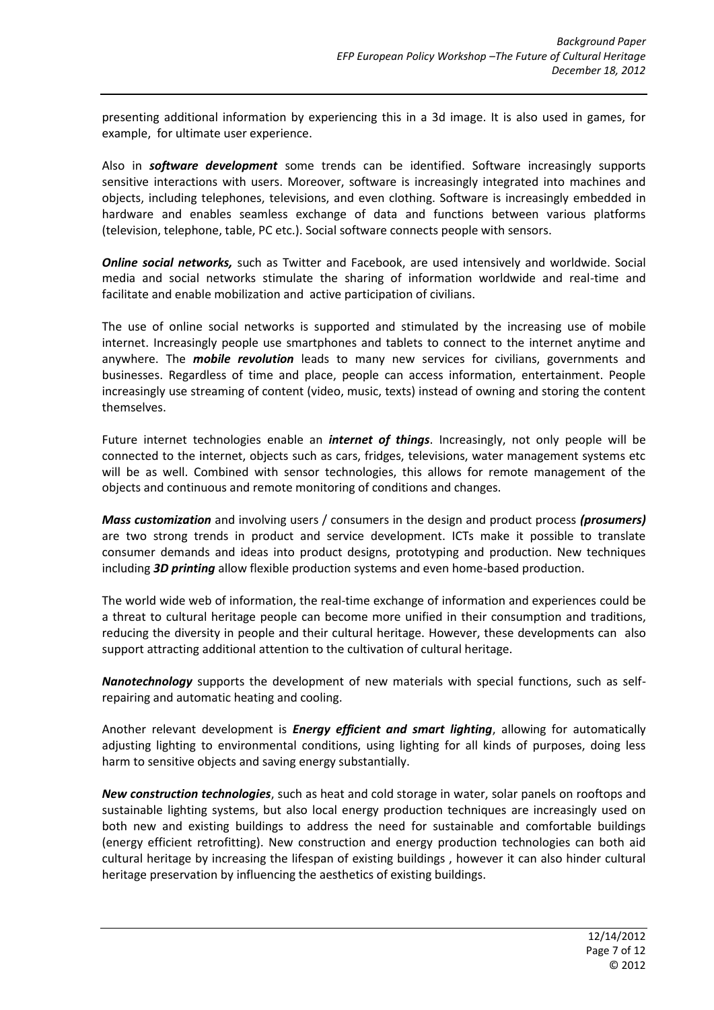presenting additional information by experiencing this in a 3d image. It is also used in games, for example, for ultimate user experience.

Also in *software development* some trends can be identified. Software increasingly supports sensitive interactions with users. Moreover, software is increasingly integrated into machines and objects, including telephones, televisions, and even clothing. Software is increasingly embedded in hardware and enables seamless exchange of data and functions between various platforms (television, telephone, table, PC etc.). Social software connects people with sensors.

*Online social networks,* such as Twitter and Facebook, are used intensively and worldwide. Social media and social networks stimulate the sharing of information worldwide and real-time and facilitate and enable mobilization and active participation of civilians.

The use of online social networks is supported and stimulated by the increasing use of mobile internet. Increasingly people use smartphones and tablets to connect to the internet anytime and anywhere. The *mobile revolution* leads to many new services for civilians, governments and businesses. Regardless of time and place, people can access information, entertainment. People increasingly use streaming of content (video, music, texts) instead of owning and storing the content themselves.

Future internet technologies enable an *internet of things*. Increasingly, not only people will be connected to the internet, objects such as cars, fridges, televisions, water management systems etc will be as well. Combined with sensor technologies, this allows for remote management of the objects and continuous and remote monitoring of conditions and changes.

*Mass customization* and involving users / consumers in the design and product process *(prosumers)* are two strong trends in product and service development. ICTs make it possible to translate consumer demands and ideas into product designs, prototyping and production. New techniques including *3D printing* allow flexible production systems and even home-based production.

The world wide web of information, the real-time exchange of information and experiences could be a threat to cultural heritage people can become more unified in their consumption and traditions, reducing the diversity in people and their cultural heritage. However, these developments can also support attracting additional attention to the cultivation of cultural heritage.

*Nanotechnology* supports the development of new materials with special functions, such as selfrepairing and automatic heating and cooling.

Another relevant development is *Energy efficient and smart lighting*, allowing for automatically adjusting lighting to environmental conditions, using lighting for all kinds of purposes, doing less harm to sensitive objects and saving energy substantially.

*New construction technologies*, such as heat and cold storage in water, solar panels on rooftops and sustainable lighting systems, but also local energy production techniques are increasingly used on both new and existing buildings to address the need for sustainable and comfortable buildings (energy efficient retrofitting). New construction and energy production technologies can both aid cultural heritage by increasing the lifespan of existing buildings , however it can also hinder cultural heritage preservation by influencing the aesthetics of existing buildings.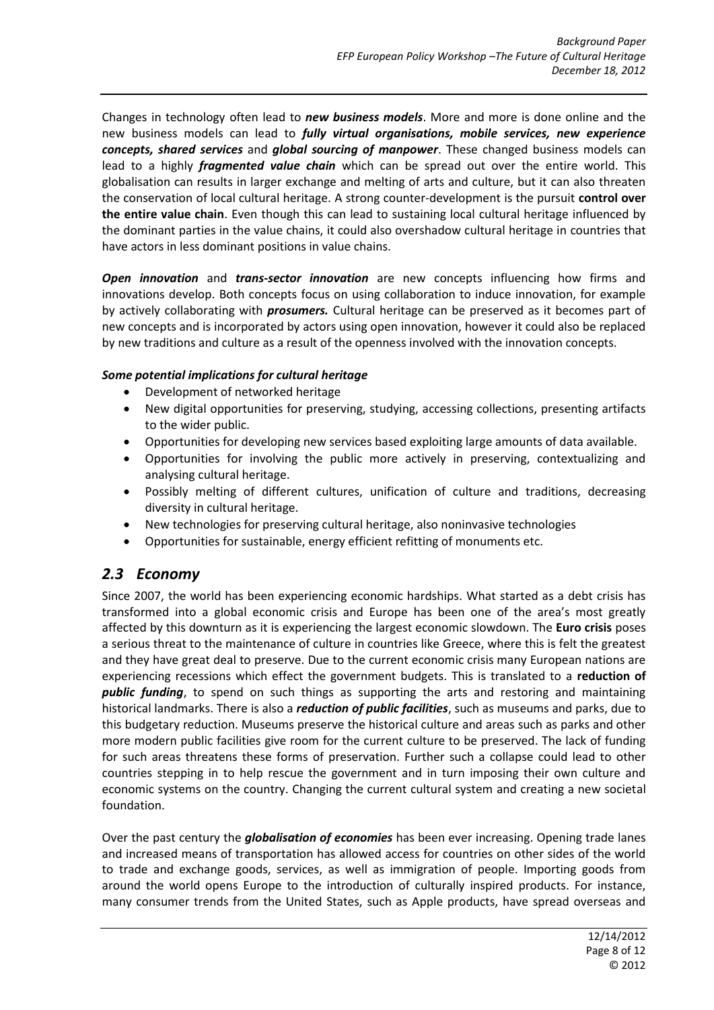Changes in technology often lead to *new business models*. More and more is done online and the new business models can lead to *fully virtual organisations, mobile services, new experience concepts, shared services* and *global sourcing of manpower*. These changed business models can lead to a highly *fragmented value chain* which can be spread out over the entire world. This globalisation can results in larger exchange and melting of arts and culture, but it can also threaten the conservation of local cultural heritage. A strong counter-development is the pursuit **control over the entire value chain**. Even though this can lead to sustaining local cultural heritage influenced by the dominant parties in the value chains, it could also overshadow cultural heritage in countries that have actors in less dominant positions in value chains.

*Open innovation* and *trans-sector innovation* are new concepts influencing how firms and innovations develop. Both concepts focus on using collaboration to induce innovation, for example by actively collaborating with *prosumers.* Cultural heritage can be preserved as it becomes part of new concepts and is incorporated by actors using open innovation, however it could also be replaced by new traditions and culture as a result of the openness involved with the innovation concepts.

#### *Some potential implications for cultural heritage*

- Development of networked heritage
- New digital opportunities for preserving, studying, accessing collections, presenting artifacts to the wider public.
- Opportunities for developing new services based exploiting large amounts of data available.
- Opportunities for involving the public more actively in preserving, contextualizing and analysing cultural heritage.
- Possibly melting of different cultures, unification of culture and traditions, decreasing diversity in cultural heritage.
- New technologies for preserving cultural heritage, also noninvasive technologies
- Opportunities for sustainable, energy efficient refitting of monuments etc.

### <span id="page-7-0"></span>*2.3 Economy*

Since 2007, the world has been experiencing economic hardships. What started as a debt crisis has transformed into a global economic crisis and Europe has been one of the area's most greatly affected by this downturn as it is experiencing the largest economic slowdown. The **Euro crisis** poses a serious threat to the maintenance of culture in countries like Greece, where this is felt the greatest and they have great deal to preserve. Due to the current economic crisis many European nations are experiencing recessions which effect the government budgets. This is translated to a **reduction of**  *public funding*, to spend on such things as supporting the arts and restoring and maintaining historical landmarks. There is also a *reduction of public facilities*, such as museums and parks, due to this budgetary reduction. Museums preserve the historical culture and areas such as parks and other more modern public facilities give room for the current culture to be preserved. The lack of funding for such areas threatens these forms of preservation. Further such a collapse could lead to other countries stepping in to help rescue the government and in turn imposing their own culture and economic systems on the country. Changing the current cultural system and creating a new societal foundation.

Over the past century the *globalisation of economies* has been ever increasing. Opening trade lanes and increased means of transportation has allowed access for countries on other sides of the world to trade and exchange goods, services, as well as immigration of people. Importing goods from around the world opens Europe to the introduction of culturally inspired products. For instance, many consumer trends from the United States, such as Apple products, have spread overseas and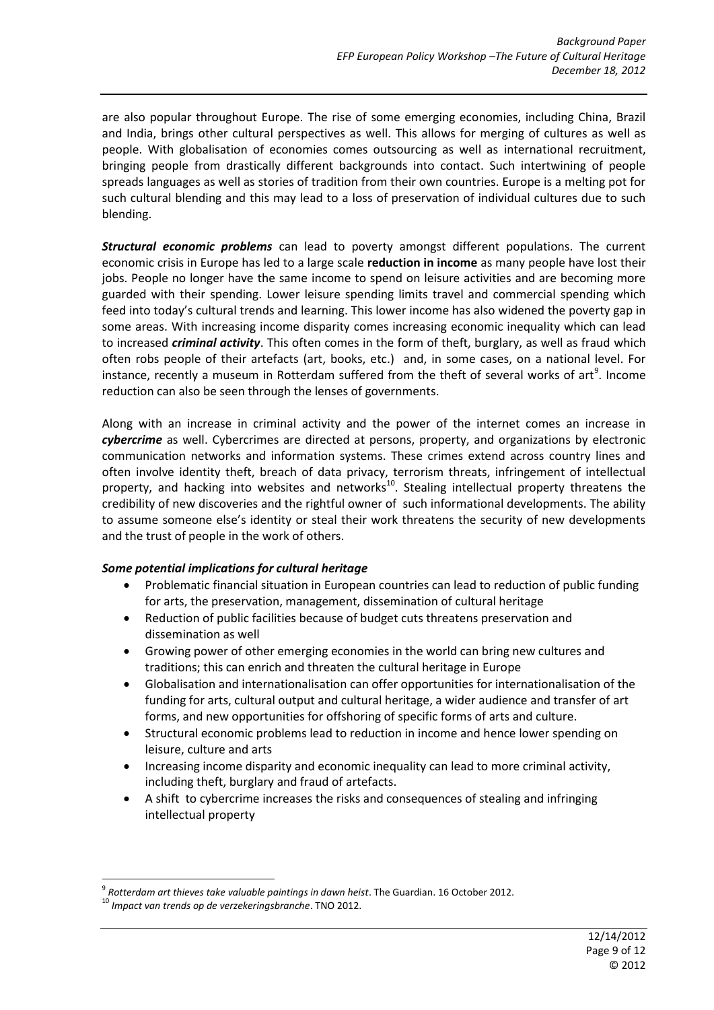are also popular throughout Europe. The rise of some emerging economies, including China, Brazil and India, brings other cultural perspectives as well. This allows for merging of cultures as well as people. With globalisation of economies comes outsourcing as well as international recruitment, bringing people from drastically different backgrounds into contact. Such intertwining of people spreads languages as well as stories of tradition from their own countries. Europe is a melting pot for such cultural blending and this may lead to a loss of preservation of individual cultures due to such blending.

*Structural economic problems* can lead to poverty amongst different populations. The current economic crisis in Europe has led to a large scale **reduction in income** as many people have lost their jobs. People no longer have the same income to spend on leisure activities and are becoming more guarded with their spending. Lower leisure spending limits travel and commercial spending which feed into today's cultural trends and learning. This lower income has also widened the poverty gap in some areas. With increasing income disparity comes increasing economic inequality which can lead to increased *criminal activity*. This often comes in the form of theft, burglary, as well as fraud which often robs people of their artefacts (art, books, etc.) and, in some cases, on a national level. For instance, recently a museum in Rotterdam suffered from the theft of several works of art<sup>9</sup>. Income reduction can also be seen through the lenses of governments.

Along with an increase in criminal activity and the power of the internet comes an increase in *cybercrime* as well. Cybercrimes are directed at persons, property, and organizations by electronic communication networks and information systems. These crimes extend across country lines and often involve identity theft, breach of data privacy, terrorism threats, infringement of intellectual property, and hacking into websites and networks<sup>10</sup>. Stealing intellectual property threatens the credibility of new discoveries and the rightful owner of such informational developments. The ability to assume someone else's identity or steal their work threatens the security of new developments and the trust of people in the work of others.

#### *Some potential implications for cultural heritage*

- Problematic financial situation in European countries can lead to reduction of public funding for arts, the preservation, management, dissemination of cultural heritage
- Reduction of public facilities because of budget cuts threatens preservation and dissemination as well
- Growing power of other emerging economies in the world can bring new cultures and traditions; this can enrich and threaten the cultural heritage in Europe
- Globalisation and internationalisation can offer opportunities for internationalisation of the funding for arts, cultural output and cultural heritage, a wider audience and transfer of art forms, and new opportunities for offshoring of specific forms of arts and culture.
- Structural economic problems lead to reduction in income and hence lower spending on leisure, culture and arts
- Increasing income disparity and economic inequality can lead to more criminal activity, including theft, burglary and fraud of artefacts.
- A shift to cybercrime increases the risks and consequences of stealing and infringing intellectual property

**<sup>.</sup>** 9 *Rotterdam art thieves take valuable paintings in dawn heist*. The Guardian. 16 October 2012.

<sup>10</sup> *Impact van trends op de verzekeringsbranche*. TNO 2012.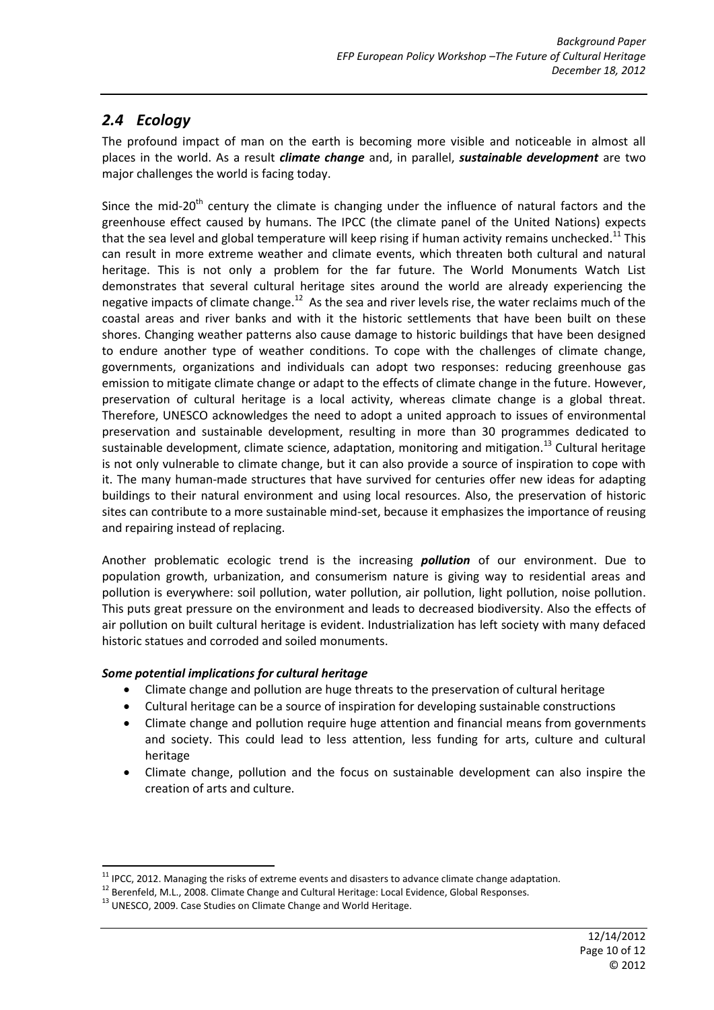### <span id="page-9-0"></span>*2.4 Ecology*

The profound impact of man on the earth is becoming more visible and noticeable in almost all places in the world. As a result *climate change* and, in parallel, *sustainable development* are two major challenges the world is facing today.

Since the mid-20<sup>th</sup> century the climate is changing under the influence of natural factors and the greenhouse effect caused by humans. The IPCC (the climate panel of the United Nations) expects that the sea level and global temperature will keep rising if human activity remains unchecked.<sup>11</sup> This can result in more extreme weather and climate events, which threaten both cultural and natural heritage. This is not only a problem for the far future. The World Monuments Watch List demonstrates that several cultural heritage sites around the world are already experiencing the negative impacts of climate change.<sup>12</sup> As the sea and river levels rise, the water reclaims much of the coastal areas and river banks and with it the historic settlements that have been built on these shores. Changing weather patterns also cause damage to historic buildings that have been designed to endure another type of weather conditions. To cope with the challenges of climate change, governments, organizations and individuals can adopt two responses: reducing greenhouse gas emission to mitigate climate change or adapt to the effects of climate change in the future. However, preservation of cultural heritage is a local activity, whereas climate change is a global threat. Therefore, UNESCO acknowledges the need to adopt a united approach to issues of environmental preservation and sustainable development, resulting in more than 30 programmes dedicated to sustainable development, climate science, adaptation, monitoring and mitigation.<sup>13</sup> Cultural heritage is not only vulnerable to climate change, but it can also provide a source of inspiration to cope with it. The many human-made structures that have survived for centuries offer new ideas for adapting buildings to their natural environment and using local resources. Also, the preservation of historic sites can contribute to a more sustainable mind-set, because it emphasizes the importance of reusing and repairing instead of replacing.

Another problematic ecologic trend is the increasing *pollution* of our environment. Due to population growth, urbanization, and consumerism nature is giving way to residential areas and pollution is everywhere: soil pollution, water pollution, air pollution, light pollution, noise pollution. This puts great pressure on the environment and leads to decreased biodiversity. Also the effects of air pollution on built cultural heritage is evident. Industrialization has left society with many defaced historic statues and corroded and soiled monuments.

#### *Some potential implications for cultural heritage*

- Climate change and pollution are huge threats to the preservation of cultural heritage
- Cultural heritage can be a source of inspiration for developing sustainable constructions
- Climate change and pollution require huge attention and financial means from governments and society. This could lead to less attention, less funding for arts, culture and cultural heritage
- Climate change, pollution and the focus on sustainable development can also inspire the creation of arts and culture.

**<sup>.</sup>**  $11$  IPCC, 2012. Managing the risks of extreme events and disasters to advance climate change adaptation.

<sup>12</sup> Berenfeld, M.L., 2008. Climate Change and Cultural Heritage: Local Evidence, Global Responses.

<sup>&</sup>lt;sup>13</sup> UNESCO, 2009. Case Studies on Climate Change and World Heritage.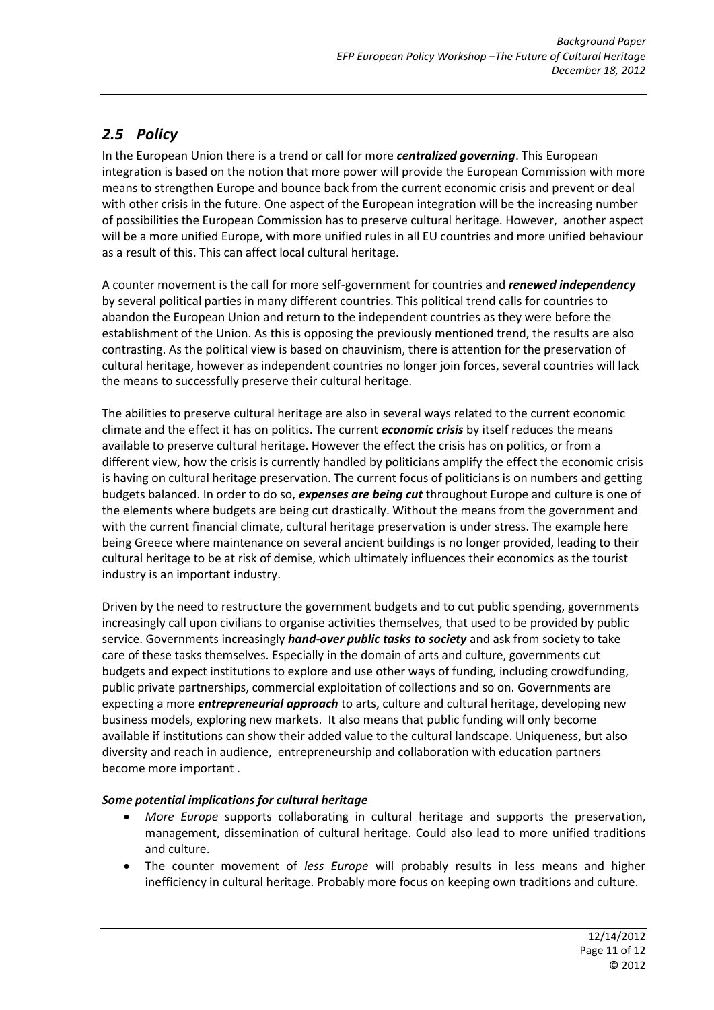# <span id="page-10-0"></span>*2.5 Policy*

In the European Union there is a trend or call for more *centralized governing*. This European integration is based on the notion that more power will provide the European Commission with more means to strengthen Europe and bounce back from the current economic crisis and prevent or deal with other crisis in the future. One aspect of the European integration will be the increasing number of possibilities the European Commission has to preserve cultural heritage. However, another aspect will be a more unified Europe, with more unified rules in all EU countries and more unified behaviour as a result of this. This can affect local cultural heritage.

A counter movement is the call for more self-government for countries and *renewed independency* by several political parties in many different countries. This political trend calls for countries to abandon the European Union and return to the independent countries as they were before the establishment of the Union. As this is opposing the previously mentioned trend, the results are also contrasting. As the political view is based on chauvinism, there is attention for the preservation of cultural heritage, however as independent countries no longer join forces, several countries will lack the means to successfully preserve their cultural heritage.

The abilities to preserve cultural heritage are also in several ways related to the current economic climate and the effect it has on politics. The current *economic crisis* by itself reduces the means available to preserve cultural heritage. However the effect the crisis has on politics, or from a different view, how the crisis is currently handled by politicians amplify the effect the economic crisis is having on cultural heritage preservation. The current focus of politicians is on numbers and getting budgets balanced. In order to do so, *expenses are being cut* throughout Europe and culture is one of the elements where budgets are being cut drastically. Without the means from the government and with the current financial climate, cultural heritage preservation is under stress. The example here being Greece where maintenance on several ancient buildings is no longer provided, leading to their cultural heritage to be at risk of demise, which ultimately influences their economics as the tourist industry is an important industry.

Driven by the need to restructure the government budgets and to cut public spending, governments increasingly call upon civilians to organise activities themselves, that used to be provided by public service. Governments increasingly *hand-over public tasks to society* and ask from society to take care of these tasks themselves. Especially in the domain of arts and culture, governments cut budgets and expect institutions to explore and use other ways of funding, including crowdfunding, public private partnerships, commercial exploitation of collections and so on. Governments are expecting a more *entrepreneurial approach* to arts, culture and cultural heritage, developing new business models, exploring new markets. It also means that public funding will only become available if institutions can show their added value to the cultural landscape. Uniqueness, but also diversity and reach in audience, entrepreneurship and collaboration with education partners become more important .

#### *Some potential implications for cultural heritage*

- *More Europe* supports collaborating in cultural heritage and supports the preservation, management, dissemination of cultural heritage. Could also lead to more unified traditions and culture.
- The counter movement of *less Europe* will probably results in less means and higher inefficiency in cultural heritage. Probably more focus on keeping own traditions and culture.